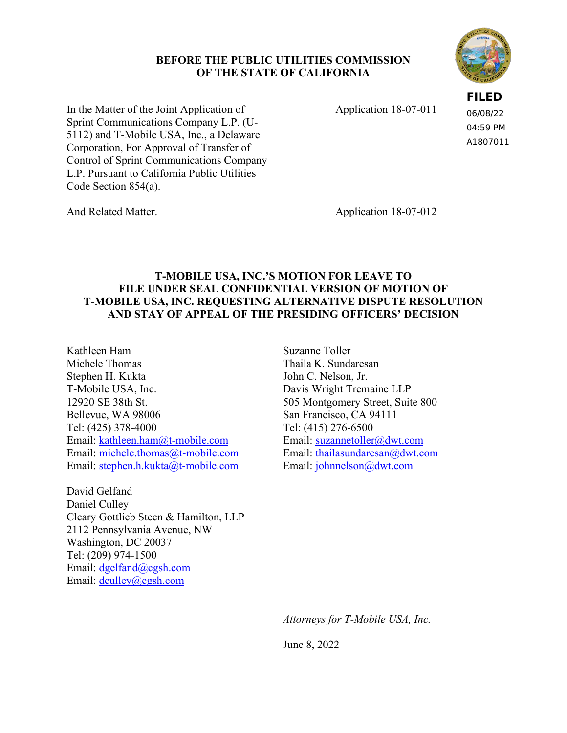### **BEFORE THE PUBLIC UTILITIES COMMISSION OF THE STATE OF CALIFORNIA**



In the Matter of the Joint Application of Sprint Communications Company L.P. (U-5112) and T-Mobile USA, Inc., a Delaware Corporation, For Approval of Transfer of Control of Sprint Communications Company L.P. Pursuant to California Public Utilities Code Section 854(a).

Application 18-07-011

**FILED** 06/08/22 04:59 PM A1807011

And Related Matter.

Application 18-07-012

# **T-MOBILE USA, INC.'S MOTION FOR LEAVE TO FILE UNDER SEAL CONFIDENTIAL VERSION OF MOTION OF T-MOBILE USA, INC. REQUESTING ALTERNATIVE DISPUTE RESOLUTION AND STAY OF APPEAL OF THE PRESIDING OFFICERS' DECISION**

Kathleen Ham Michele Thomas Stephen H. Kukta John C. Nelson, Jr. T-Mobile USA, Inc. Davis Wright Tremaine LLP 12920 SE 38th St. 505 Montgomery Street, Suite 800 Bellevue, WA 98006 Tel: (425) 378-4000 Email: kathleen.ham@t-mobile.com Email: michele.thomas@t-mobile.com Email: stephen.h.kukta@t-mobile.com Email: johnnelson@dwt.com

David Gelfand Daniel Culley Cleary Gottlieb Steen & Hamilton, LLP 2112 Pennsylvania Avenue, NW Washington, DC 20037 Tel: (209) 974-1500 Email: dgelfand@cgsh.com Email: dculley@cgsh.com

Suzanne Toller Thaila K. Sundaresan San Francisco, CA 94111 Tel: (415) 276-6500 Email: suzannetoller@dwt.com Email: thailasundaresan@dwt.com

*Attorneys for T-Mobile USA, Inc.* 

June 8, 2022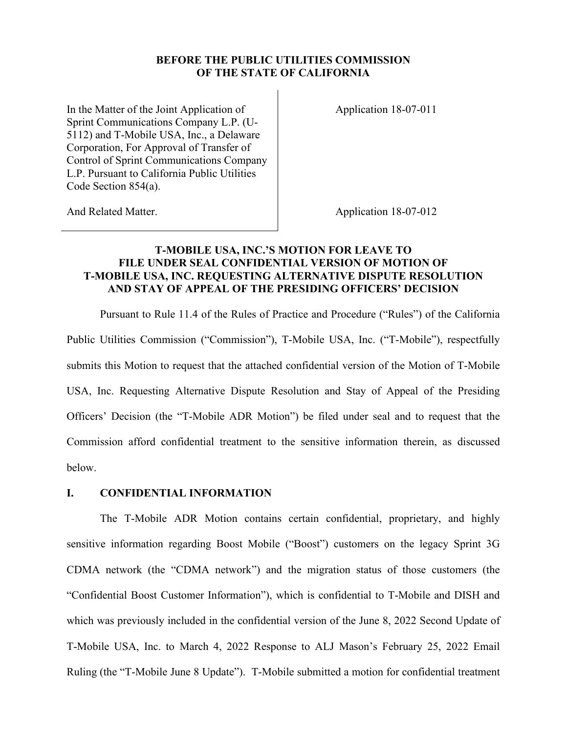#### **BEFORE THE PUBLIC UTILITIES COMMISSION OF THE STATE OF CALIFORNIA**

In the Matter of the Joint Application of Sprint Communications Company L.P. (U-5112) and T-Mobile USA, Inc., a Delaware Corporation, For Approval of Transfer of Control of Sprint Communications Company L.P. Pursuant to California Public Utilities Code Section 854(a).

Application 18-07-011

And Related Matter.

Application 18-07-012

## **T-MOBILE USA, INC.'S MOTION FOR LEAVE TO FILE UNDER SEAL CONFIDENTIAL VERSION OF MOTION OF T-MOBILE USA, INC. REQUESTING ALTERNATIVE DISPUTE RESOLUTION AND STAY OF APPEAL OF THE PRESIDING OFFICERS' DECISION**

Pursuant to Rule 11.4 of the Rules of Practice and Procedure ("Rules") of the California Public Utilities Commission ("Commission"), T-Mobile USA, Inc. ("T-Mobile"), respectfully submits this Motion to request that the attached confidential version of the Motion of T-Mobile USA, Inc. Requesting Alternative Dispute Resolution and Stay of Appeal of the Presiding Officers' Decision (the "T-Mobile ADR Motion") be filed under seal and to request that the Commission afford confidential treatment to the sensitive information therein, as discussed below.

### **I. CONFIDENTIAL INFORMATION**

The T-Mobile ADR Motion contains certain confidential, proprietary, and highly sensitive information regarding Boost Mobile ("Boost") customers on the legacy Sprint 3G CDMA network (the "CDMA network") and the migration status of those customers (the "Confidential Boost Customer Information"), which is confidential to T-Mobile and DISH and which was previously included in the confidential version of the June 8, 2022 Second Update of T-Mobile USA, Inc. to March 4, 2022 Response to ALJ Mason's February 25, 2022 Email Ruling (the "T-Mobile June 8 Update"). T-Mobile submitted a motion for confidential treatment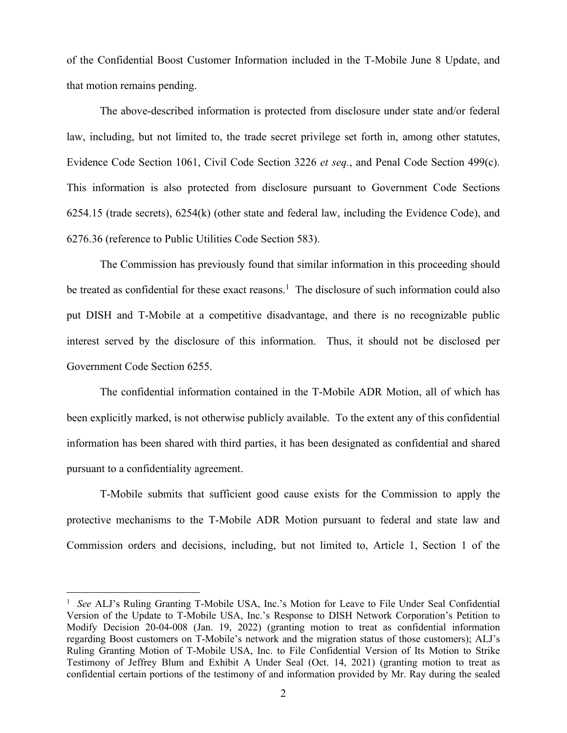of the Confidential Boost Customer Information included in the T-Mobile June 8 Update, and that motion remains pending.

The above-described information is protected from disclosure under state and/or federal law, including, but not limited to, the trade secret privilege set forth in, among other statutes, Evidence Code Section 1061, Civil Code Section 3226 *et seq.*, and Penal Code Section 499(c). This information is also protected from disclosure pursuant to Government Code Sections 6254.15 (trade secrets), 6254(k) (other state and federal law, including the Evidence Code), and 6276.36 (reference to Public Utilities Code Section 583).

The Commission has previously found that similar information in this proceeding should be treated as confidential for these exact reasons.<sup>1</sup> The disclosure of such information could also put DISH and T-Mobile at a competitive disadvantage, and there is no recognizable public interest served by the disclosure of this information. Thus, it should not be disclosed per Government Code Section 6255.

The confidential information contained in the T-Mobile ADR Motion, all of which has been explicitly marked, is not otherwise publicly available. To the extent any of this confidential information has been shared with third parties, it has been designated as confidential and shared pursuant to a confidentiality agreement.

T-Mobile submits that sufficient good cause exists for the Commission to apply the protective mechanisms to the T-Mobile ADR Motion pursuant to federal and state law and Commission orders and decisions, including, but not limited to, Article 1, Section 1 of the

<sup>1</sup> *See* ALJ's Ruling Granting T-Mobile USA, Inc.'s Motion for Leave to File Under Seal Confidential Version of the Update to T-Mobile USA, Inc.'s Response to DISH Network Corporation's Petition to Modify Decision 20-04-008 (Jan. 19, 2022) (granting motion to treat as confidential information regarding Boost customers on T-Mobile's network and the migration status of those customers); ALJ's Ruling Granting Motion of T-Mobile USA, Inc. to File Confidential Version of Its Motion to Strike Testimony of Jeffrey Blum and Exhibit A Under Seal (Oct. 14, 2021) (granting motion to treat as confidential certain portions of the testimony of and information provided by Mr. Ray during the sealed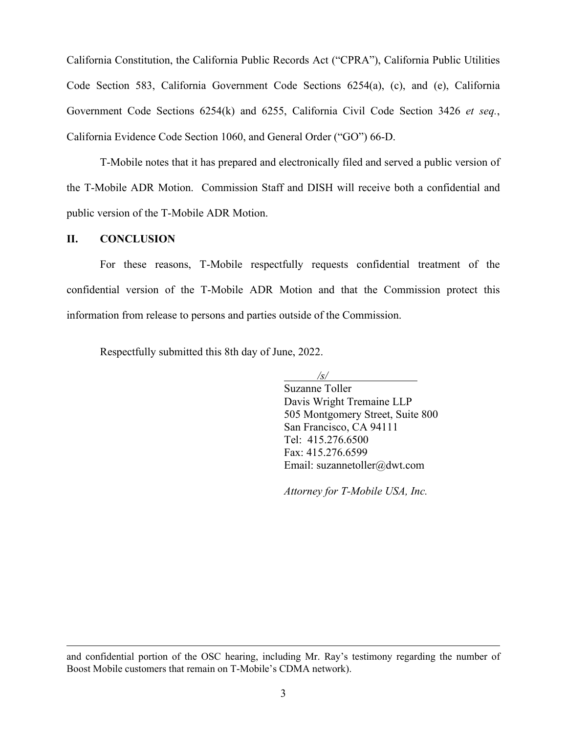California Constitution, the California Public Records Act ("CPRA"), California Public Utilities Code Section 583, California Government Code Sections 6254(a), (c), and (e), California Government Code Sections 6254(k) and 6255, California Civil Code Section 3426 *et seq.*, California Evidence Code Section 1060, and General Order ("GO") 66-D.

T-Mobile notes that it has prepared and electronically filed and served a public version of the T-Mobile ADR Motion. Commission Staff and DISH will receive both a confidential and public version of the T-Mobile ADR Motion.

#### **II. CONCLUSION**

For these reasons, T-Mobile respectfully requests confidential treatment of the confidential version of the T-Mobile ADR Motion and that the Commission protect this information from release to persons and parties outside of the Commission.

Respectfully submitted this 8th day of June, 2022.

*/s/* 

Suzanne Toller Davis Wright Tremaine LLP 505 Montgomery Street, Suite 800 San Francisco, CA 94111 Tel: 415.276.6500 Fax: 415.276.6599 Email: suzannetoller@dwt.com

*Attorney for T-Mobile USA, Inc.*

and confidential portion of the OSC hearing, including Mr. Ray's testimony regarding the number of Boost Mobile customers that remain on T-Mobile's CDMA network).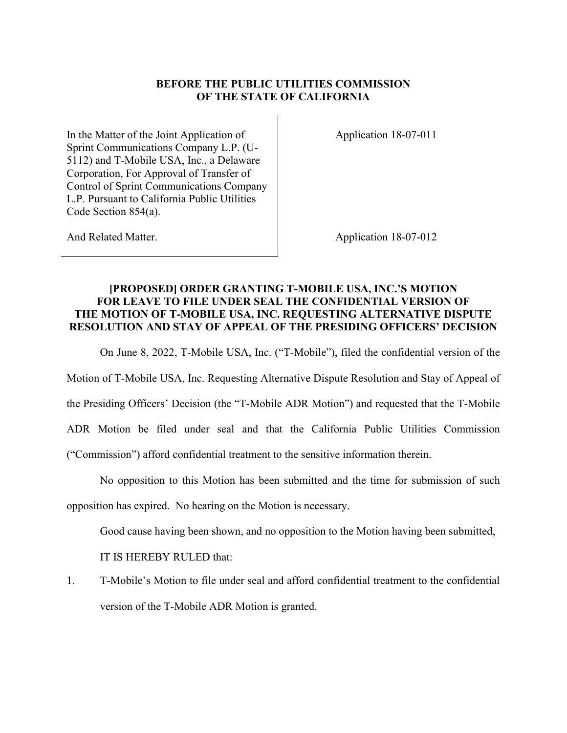## **BEFORE THE PUBLIC UTILITIES COMMISSION OF THE STATE OF CALIFORNIA**

In the Matter of the Joint Application of Sprint Communications Company L.P. (U-5112) and T-Mobile USA, Inc., a Delaware Corporation, For Approval of Transfer of Control of Sprint Communications Company L.P. Pursuant to California Public Utilities Code Section 854(a).

Application 18-07-011

And Related Matter.

Application 18-07-012

## **[PROPOSED] ORDER GRANTING T-MOBILE USA, INC.'S MOTION FOR LEAVE TO FILE UNDER SEAL THE CONFIDENTIAL VERSION OF THE MOTION OF T-MOBILE USA, INC. REQUESTING ALTERNATIVE DISPUTE RESOLUTION AND STAY OF APPEAL OF THE PRESIDING OFFICERS' DECISION**

On June 8, 2022, T-Mobile USA, Inc. ("T-Mobile"), filed the confidential version of the

Motion of T-Mobile USA, Inc. Requesting Alternative Dispute Resolution and Stay of Appeal of

the Presiding Officers' Decision (the "T-Mobile ADR Motion") and requested that the T-Mobile

ADR Motion be filed under seal and that the California Public Utilities Commission

("Commission") afford confidential treatment to the sensitive information therein.

No opposition to this Motion has been submitted and the time for submission of such

opposition has expired. No hearing on the Motion is necessary.

Good cause having been shown, and no opposition to the Motion having been submitted,

IT IS HEREBY RULED that:

1. T-Mobile's Motion to file under seal and afford confidential treatment to the confidential version of the T-Mobile ADR Motion is granted.